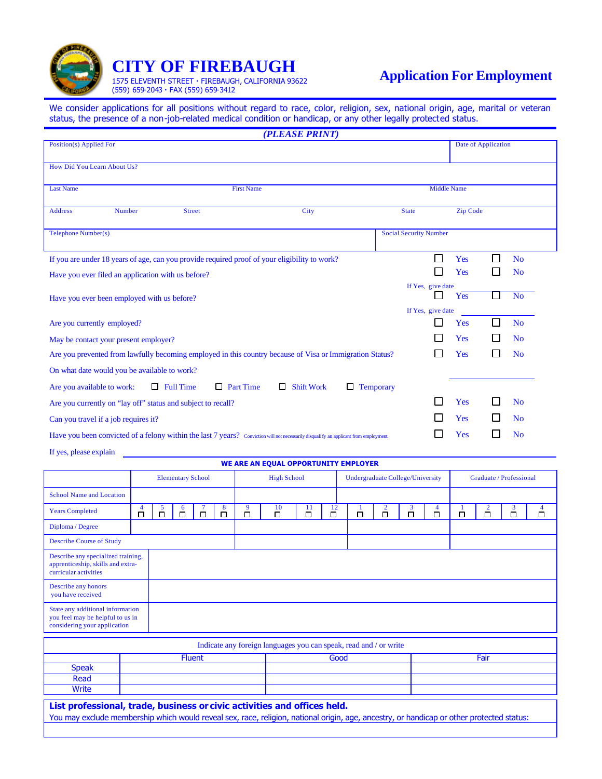

## **CITY OF FIREBAUGH**

1575 ELEVENTH STREET · FIREBAUGH, CALIFORNIA 93622 (559) 659-2043 · FAX (559) 659-3412

We consider applications for all positions without regard to race, color, religion, sex, national origin, age, marital or veteran status, the presence of a non-job-related medical condition or handicap, or any other legally protected status.

|                                                                                                                                        |        |                          |        |                  |        |        |        |                                                               |                                                                   | (PLEASE PRINT)                |              |                |                          |                  |                         |                                   |            |                     |                   |                |                     |
|----------------------------------------------------------------------------------------------------------------------------------------|--------|--------------------------|--------|------------------|--------|--------|--------|---------------------------------------------------------------|-------------------------------------------------------------------|-------------------------------|--------------|----------------|--------------------------|------------------|-------------------------|-----------------------------------|------------|---------------------|-------------------|----------------|---------------------|
| Position(s) Applied For                                                                                                                |        |                          |        |                  |        |        |        |                                                               | Date of Application                                               |                               |              |                |                          |                  |                         |                                   |            |                     |                   |                |                     |
| How Did You Learn About Us?                                                                                                            |        |                          |        |                  |        |        |        |                                                               |                                                                   |                               |              |                |                          |                  |                         |                                   |            |                     |                   |                |                     |
| <b>Last Name</b>                                                                                                                       |        |                          |        |                  |        |        |        | <b>First Name</b>                                             |                                                                   |                               |              |                |                          |                  |                         | <b>Middle Name</b>                |            |                     |                   |                |                     |
| <b>Address</b>                                                                                                                         | Number | City<br><b>Street</b>    |        |                  |        |        |        |                                                               | <b>State</b><br><b>Zip Code</b>                                   |                               |              |                |                          |                  |                         |                                   |            |                     |                   |                |                     |
| Telephone Number(s)                                                                                                                    |        |                          |        |                  |        |        |        |                                                               |                                                                   | <b>Social Security Number</b> |              |                |                          |                  |                         |                                   |            |                     |                   |                |                     |
| If you are under 18 years of age, can you provide required proof of your eligibility to work?                                          |        |                          |        |                  |        |        |        |                                                               |                                                                   |                               |              |                |                          |                  |                         | $\Box$                            | Yes        | $\Box$              |                   | N <sub>o</sub> |                     |
| Have you ever filed an application with us before?                                                                                     |        |                          |        |                  |        |        |        |                                                               |                                                                   |                               |              |                |                          |                  |                         | $\mathbf{I}$<br>If Yes, give date | Yes        | L                   |                   | N <sub>o</sub> |                     |
| Have you ever been employed with us before?                                                                                            |        |                          |        |                  |        |        |        |                                                               |                                                                   |                               |              | Yes            | $\overline{\phantom{a}}$ |                  | <b>No</b>               |                                   |            |                     |                   |                |                     |
| Are you currently employed?                                                                                                            |        |                          |        |                  |        |        |        |                                                               |                                                                   |                               |              |                |                          |                  |                         | If Yes, give date<br>l.           | <b>Yes</b> | $\Box$              |                   | N <sub>o</sub> |                     |
| May be contact your present employer?                                                                                                  |        |                          |        |                  |        |        |        |                                                               | Yes                                                               | $\mathbf{I}$                  |              | N <sub>0</sub> |                          |                  |                         |                                   |            |                     |                   |                |                     |
| Are you prevented from lawfully becoming employed in this country because of Visa or Immigration Status?                               |        |                          |        |                  |        |        |        |                                                               |                                                                   |                               |              |                |                          |                  |                         | $\mathbf{I}$                      | Yes        | $\Box$              |                   | N <sub>o</sub> |                     |
| On what date would you be available to work?                                                                                           |        |                          |        |                  |        |        |        |                                                               |                                                                   |                               |              |                |                          |                  |                         |                                   |            |                     |                   |                |                     |
| Are you available to work:                                                                                                             |        |                          |        | $\Box$ Full Time |        |        |        | $\Box$ Part Time                                              |                                                                   | $\Box$ Shift Work             |              |                | $\Box$ Temporary         |                  |                         |                                   |            |                     |                   |                |                     |
| Are you currently on "lay off" status and subject to recall?                                                                           |        |                          |        |                  |        |        |        |                                                               | Yes                                                               |                               |              | N <sub>0</sub> |                          |                  |                         |                                   |            |                     |                   |                |                     |
| Can you travel if a job requires it?                                                                                                   |        |                          |        |                  |        |        |        |                                                               | $\mathbf{I}$                                                      | Yes                           | $\mathsf{I}$ |                | N <sub>0</sub>           |                  |                         |                                   |            |                     |                   |                |                     |
| Have you been convicted of a felony within the last 7 years? Conviction will not necessarily disquali fy an applicant from employment. |        |                          |        |                  |        |        |        |                                                               |                                                                   |                               |              |                |                          |                  |                         | $\mathbf{I}$                      | <b>Yes</b> | L                   |                   | N <sub>0</sub> |                     |
| If yes, please explain                                                                                                                 |        |                          |        |                  |        |        |        |                                                               |                                                                   |                               |              |                |                          |                  |                         |                                   |            |                     |                   |                |                     |
|                                                                                                                                        |        |                          |        |                  |        |        |        |                                                               | WE ARE AN EQUAL OPPORTUNITY EMPLOYER                              |                               |              |                |                          |                  |                         |                                   |            |                     |                   |                |                     |
|                                                                                                                                        |        | <b>Elementary School</b> |        |                  |        |        |        | <b>High School</b><br><b>Undergraduate College/University</b> |                                                                   |                               |              |                |                          |                  | Graduate / Professional |                                   |            |                     |                   |                |                     |
| <b>School Name and Location</b>                                                                                                        |        |                          |        |                  |        |        |        |                                                               |                                                                   |                               |              |                |                          |                  |                         |                                   |            |                     |                   |                |                     |
| <b>Years Completed</b>                                                                                                                 |        | $\overline{4}$<br>□      | 5<br>□ | 6<br>□           |        | 7<br>□ | 8<br>□ | 9<br>□                                                        | 10<br>□                                                           | 11<br>口                       | 12<br>□      |                | 1<br>□                   | $\frac{2}{\Box}$ | 3<br>$\Box$             | $\overline{4}$<br>□               | □          | $\overline{2}$<br>口 | $\mathbf{3}$<br>□ |                | $\overline{4}$<br>□ |
| Diploma / Degree                                                                                                                       |        |                          |        |                  |        |        |        |                                                               |                                                                   |                               |              |                |                          |                  |                         |                                   |            |                     |                   |                |                     |
| <b>Describe Course of Study</b>                                                                                                        |        |                          |        |                  |        |        |        |                                                               |                                                                   |                               |              |                |                          |                  |                         |                                   |            |                     |                   |                |                     |
| Describe any specialized training,<br>apprenticeship, skills and extra-<br>curricular activities                                       |        |                          |        |                  |        |        |        |                                                               |                                                                   |                               |              |                |                          |                  |                         |                                   |            |                     |                   |                |                     |
| Describe any honors<br>you have received                                                                                               |        |                          |        |                  |        |        |        |                                                               |                                                                   |                               |              |                |                          |                  |                         |                                   |            |                     |                   |                |                     |
| State any additional information<br>you feel may be helpful to us in<br>considering your application                                   |        |                          |        |                  |        |        |        |                                                               |                                                                   |                               |              |                |                          |                  |                         |                                   |            |                     |                   |                |                     |
|                                                                                                                                        |        |                          |        |                  |        |        |        |                                                               | Indicate any foreign languages you can speak, read and / or write |                               |              |                |                          |                  |                         |                                   |            |                     |                   |                |                     |
|                                                                                                                                        |        |                          |        |                  | Fluent |        |        |                                                               |                                                                   | Good                          |              |                |                          |                  | Fair                    |                                   |            |                     |                   |                |                     |
| <b>Speak</b><br>Read                                                                                                                   |        |                          |        |                  |        |        |        |                                                               |                                                                   |                               |              |                |                          |                  |                         |                                   |            |                     |                   |                |                     |
| <b>Write</b>                                                                                                                           |        |                          |        |                  |        |        |        |                                                               |                                                                   |                               |              |                |                          |                  |                         |                                   |            |                     |                   |                |                     |

**List professional, trade, business or civic activities and offices held.**

You may exclude membership which would reveal sex, race, religion, national origin, age, ancestry, or handicap or other protected status: